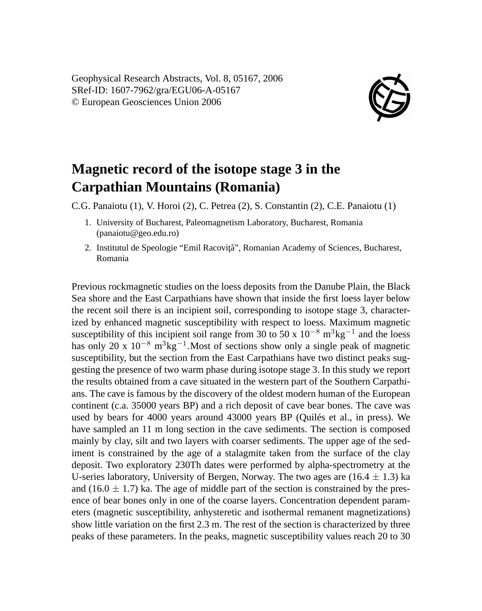Geophysical Research Abstracts, Vol. 8, 05167, 2006 SRef-ID: 1607-7962/gra/EGU06-A-05167 © European Geosciences Union 2006



## **Magnetic record of the isotope stage 3 in the Carpathian Mountains (Romania)**

C.G. Panaiotu (1), V. Horoi (2), C. Petrea (2), S. Constantin (2), C.E. Panaiotu (1)

- 1. University of Bucharest, Paleomagnetism Laboratory, Bucharest, Romania (panaiotu@geo.edu.ro)
- 2. Institutul de Speologie "Emil Racovită", Romanian Academy of Sciences, Bucharest, Romania

Previous rockmagnetic studies on the loess deposits from the Danube Plain, the Black Sea shore and the East Carpathians have shown that inside the first loess layer below the recent soil there is an incipient soil, corresponding to isotope stage 3, characterized by enhanced magnetic susceptibility with respect to loess. Maximum magnetic susceptibility of this incipient soil range from 30 to 50 x  $10^{-8}$  m<sup>3</sup>kg<sup>-1</sup> and the loess has only 20 x  $10^{-8}$  m<sup>3</sup>kg<sup>-1</sup>. Most of sections show only a single peak of magnetic susceptibility, but the section from the East Carpathians have two distinct peaks suggesting the presence of two warm phase during isotope stage 3. In this study we report the results obtained from a cave situated in the western part of the Southern Carpathians. The cave is famous by the discovery of the oldest modern human of the European continent (c.a. 35000 years BP) and a rich deposit of cave bear bones. The cave was used by bears for 4000 years around 43000 years BP (Quilés et al., in press). We have sampled an 11 m long section in the cave sediments. The section is composed mainly by clay, silt and two layers with coarser sediments. The upper age of the sediment is constrained by the age of a stalagmite taken from the surface of the clay deposit. Two exploratory 230Th dates were performed by alpha-spectrometry at the U-series laboratory, University of Bergen, Norway. The two ages are  $(16.4 \pm 1.3)$  ka and  $(16.0 \pm 1.7)$  ka. The age of middle part of the section is constrained by the presence of bear bones only in one of the coarse layers. Concentration dependent parameters (magnetic susceptibility, anhysteretic and isothermal remanent magnetizations) show little variation on the first 2.3 m. The rest of the section is characterized by three peaks of these parameters. In the peaks, magnetic susceptibility values reach 20 to 30